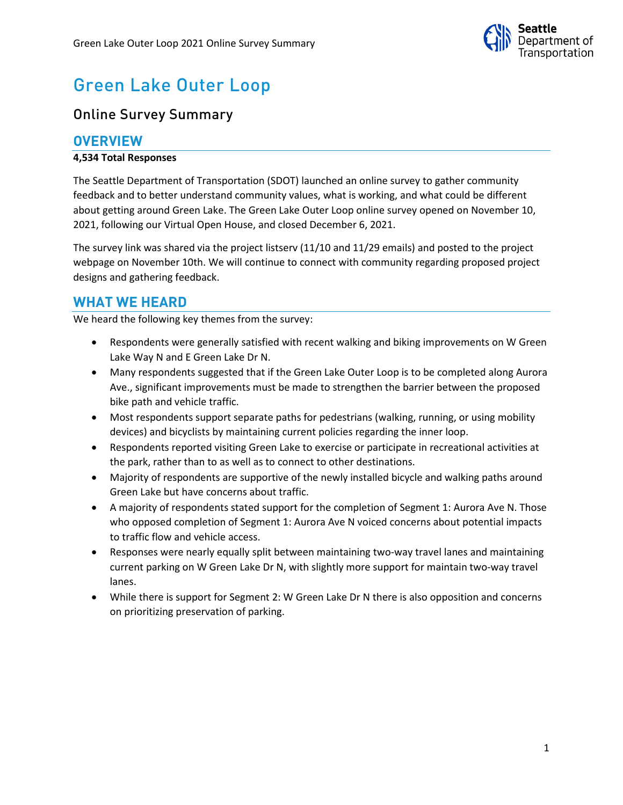

# Green Lake Outer Loop

## Online Survey Summary

## **OVERVIEW**

#### **4,534 Total Responses**

The Seattle Department of Transportation (SDOT) launched an online survey to gather community feedback and to better understand community values, what is working, and what could be different about getting around Green Lake. The Green Lake Outer Loop online survey opened on November 10, 2021, following our Virtual Open House, and closed December 6, 2021.

The survey link was shared via the project listserv (11/10 and 11/29 emails) and posted to the project webpage on November 10th. We will continue to connect with community regarding proposed project designs and gathering feedback.

## **WHAT WE HEARD**

We heard the following key themes from the survey:

- Respondents were generally satisfied with recent walking and biking improvements on W Green Lake Way N and E Green Lake Dr N.
- Many respondents suggested that if the Green Lake Outer Loop is to be completed along Aurora Ave., significant improvements must be made to strengthen the barrier between the proposed bike path and vehicle traffic.
- Most respondents support separate paths for pedestrians (walking, running, or using mobility devices) and bicyclists by maintaining current policies regarding the inner loop.
- Respondents reported visiting Green Lake to exercise or participate in recreational activities at the park, rather than to as well as to connect to other destinations.
- Majority of respondents are supportive of the newly installed bicycle and walking paths around Green Lake but have concerns about traffic.
- A majority of respondents stated support for the completion of Segment 1: Aurora Ave N. Those who opposed completion of Segment 1: Aurora Ave N voiced concerns about potential impacts to traffic flow and vehicle access.
- Responses were nearly equally split between maintaining two-way travel lanes and maintaining current parking on W Green Lake Dr N, with slightly more support for maintain two-way travel lanes.
- While there is support for Segment 2: W Green Lake Dr N there is also opposition and concerns on prioritizing preservation of parking.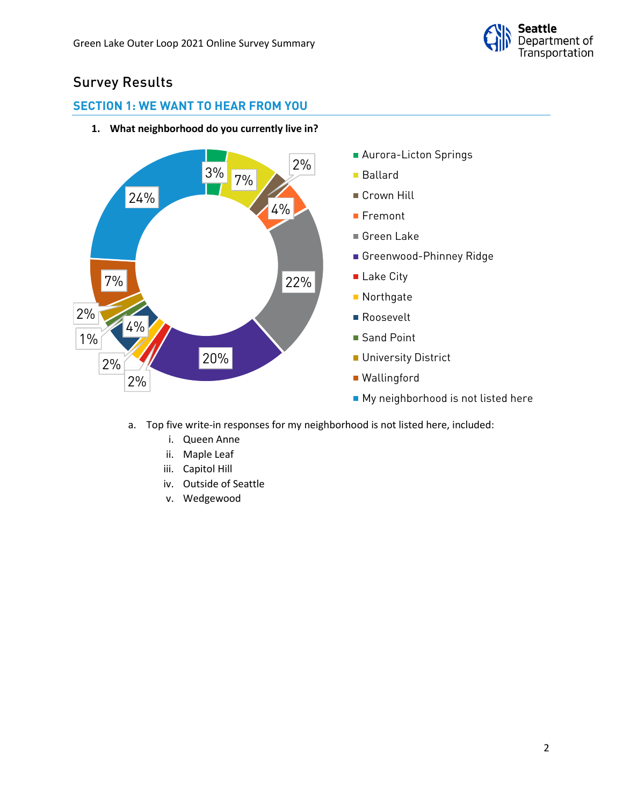

## Survey Results

## **SECTION 1: WE WANT TO HEAR FROM YOU**



**1. What neighborhood do you currently live in?**

- a. Top five write-in responses for my neighborhood is not listed here, included:
	- i. Queen Anne
	- ii. Maple Leaf
	- iii. Capitol Hill
	- iv. Outside of Seattle
	- v. Wedgewood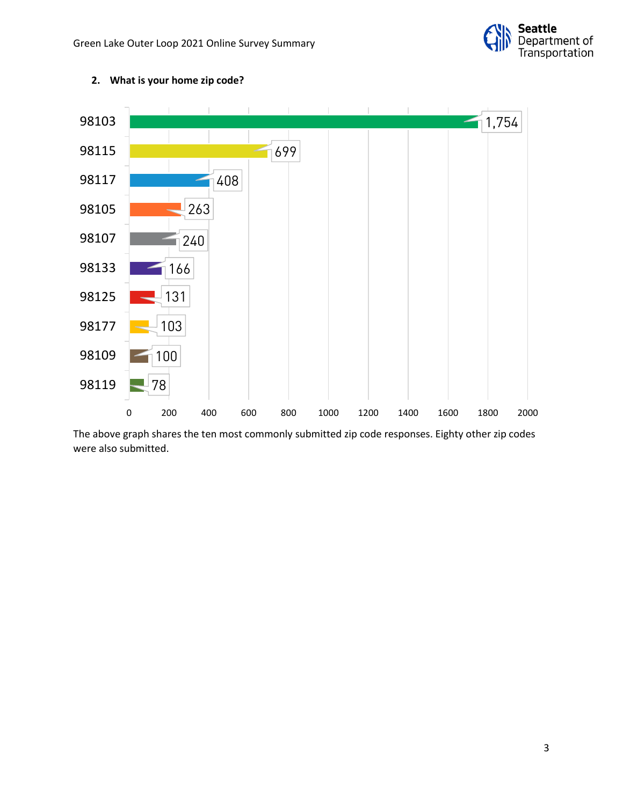



### **2. What is your home zip code?**

The above graph shares the ten most commonly submitted zip code responses. Eighty other zip codes were also submitted.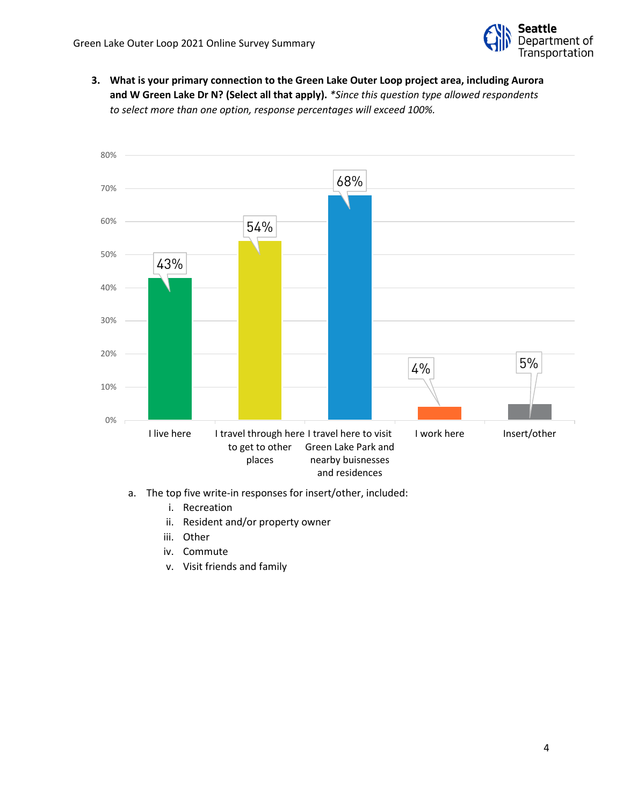

**3. What is your primary connection to the Green Lake Outer Loop project area, including Aurora and W Green Lake Dr N? (Select all that apply).** *\*Since this question type allowed respondents to select more than one option, response percentages will exceed 100%.*



- a. The top five write-in responses for insert/other, included:
	- i. Recreation
	- ii. Resident and/or property owner
	- iii. Other
	- iv. Commute
	- v. Visit friends and family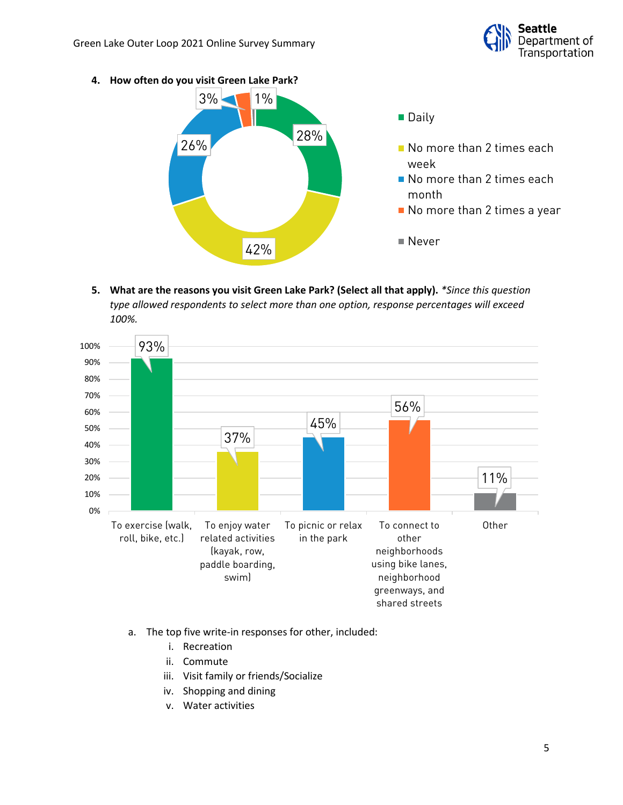

**4. How often do you visit Green Lake Park?**



**5. What are the reasons you visit Green Lake Park? (Select all that apply).** *\*Since this question type allowed respondents to select more than one option, response percentages will exceed 100%.*



- a. The top five write-in responses for other, included:
	- i. Recreation
	- ii. Commute
	- iii. Visit family or friends/Socialize
	- iv. Shopping and dining
	- v. Water activities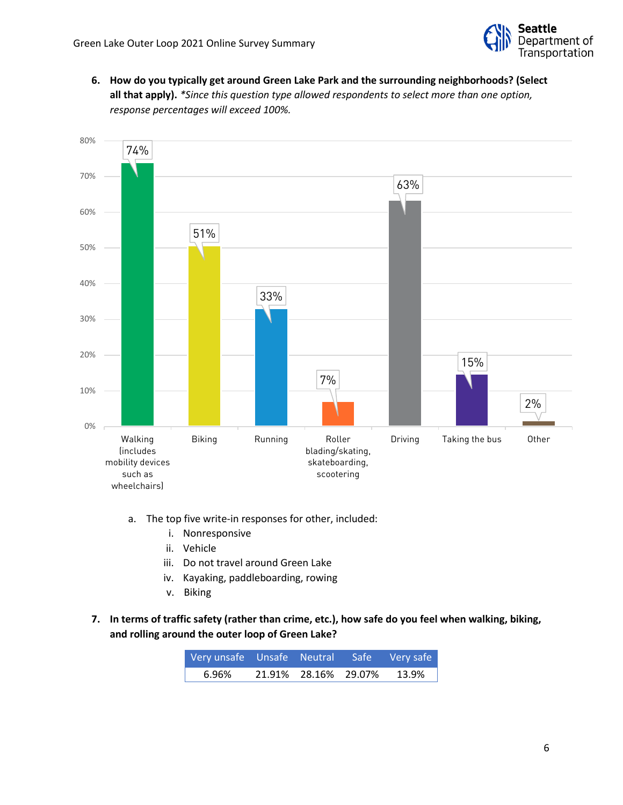

**6. How do you typically get around Green Lake Park and the surrounding neighborhoods? (Select all that apply).** *\*Since this question type allowed respondents to select more than one option, response percentages will exceed 100%.*



- a. The top five write-in responses for other, included:
	- i. Nonresponsive
	- ii. Vehicle
	- iii. Do not travel around Green Lake
	- iv. Kayaking, paddleboarding, rowing
	- v. Biking
- **7. In terms of traffic safety (rather than crime, etc.), how safe do you feel when walking, biking, and rolling around the outer loop of Green Lake?**

| Very unsafe Unsafe Neutral Safe Very safe |                      |          |
|-------------------------------------------|----------------------|----------|
| 6.96%                                     | 21.91% 28.16% 29.07% | $13.9\%$ |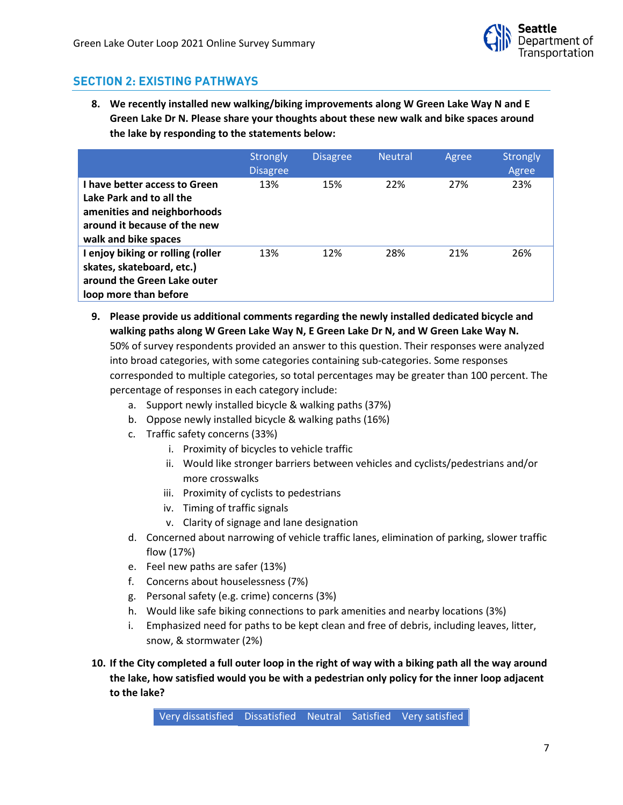

## **SECTION 2: EXISTING PATHWAYS**

**8. We recently installed new walking/biking improvements along W Green Lake Way N and E Green Lake Dr N. Please share your thoughts about these new walk and bike spaces around the lake by responding to the statements below:**

|                                                                                                                                                  | Strongly<br><b>Disagree</b> | <b>Disagree</b> | <b>Neutral</b> | Agree | <b>Strongly</b><br>Agree |
|--------------------------------------------------------------------------------------------------------------------------------------------------|-----------------------------|-----------------|----------------|-------|--------------------------|
| I have better access to Green<br>Lake Park and to all the<br>amenities and neighborhoods<br>around it because of the new<br>walk and bike spaces | 13%                         | 15%             | 22%            | 27%   | 23%                      |
| I enjoy biking or rolling (roller<br>skates, skateboard, etc.)<br>around the Green Lake outer<br>loop more than before                           | 13%                         | 12%             | 28%            | 21%   | 26%                      |

- **9. Please provide us additional comments regarding the newly installed dedicated bicycle and walking paths along W Green Lake Way N, E Green Lake Dr N, and W Green Lake Way N.** 50% of survey respondents provided an answer to this question. Their responses were analyzed into broad categories, with some categories containing sub-categories. Some responses corresponded to multiple categories, so total percentages may be greater than 100 percent. The percentage of responses in each category include:
	- a. Support newly installed bicycle & walking paths (37%)
	- b. Oppose newly installed bicycle & walking paths (16%)
	- c. Traffic safety concerns (33%)
		- i. Proximity of bicycles to vehicle traffic
		- ii. Would like stronger barriers between vehicles and cyclists/pedestrians and/or more crosswalks
		- iii. Proximity of cyclists to pedestrians
		- iv. Timing of traffic signals
		- v. Clarity of signage and lane designation
	- d. Concerned about narrowing of vehicle traffic lanes, elimination of parking, slower traffic flow (17%)
	- e. Feel new paths are safer (13%)
	- f. Concerns about houselessness (7%)
	- g. Personal safety (e.g. crime) concerns (3%)
	- h. Would like safe biking connections to park amenities and nearby locations (3%)
	- i. Emphasized need for paths to be kept clean and free of debris, including leaves, litter, snow, & stormwater (2%)
- **10. If the City completed a full outer loop in the right of way with a biking path all the way around the lake, how satisfied would you be with a pedestrian only policy for the inner loop adjacent to the lake?**

Very dissatisfied Dissatisfied Neutral Satisfied Very satisfied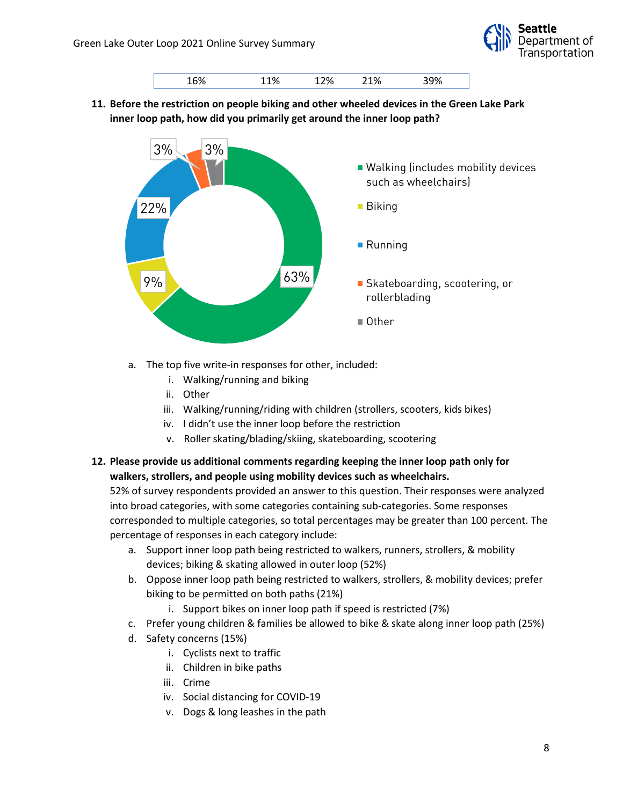



**11. Before the restriction on people biking and other wheeled devices in the Green Lake Park inner loop path, how did you primarily get around the inner loop path?**



- a. The top five write-in responses for other, included:
	- i. Walking/running and biking
	- ii. Other
	- iii. Walking/running/riding with children (strollers, scooters, kids bikes)
	- iv. I didn't use the inner loop before the restriction
	- v. Roller skating/blading/skiing, skateboarding, scootering
- **12. Please provide us additional comments regarding keeping the inner loop path only for walkers, strollers, and people using mobility devices such as wheelchairs.**

- a. Support inner loop path being restricted to walkers, runners, strollers, & mobility devices; biking & skating allowed in outer loop (52%)
- b. Oppose inner loop path being restricted to walkers, strollers, & mobility devices; prefer biking to be permitted on both paths (21%)
	- i. Support bikes on inner loop path if speed is restricted (7%)
- c. Prefer young children & families be allowed to bike & skate along inner loop path (25%)
- d. Safety concerns (15%)
	- i. Cyclists next to traffic
	- ii. Children in bike paths
	- iii. Crime
	- iv. Social distancing for COVID-19
	- v. Dogs & long leashes in the path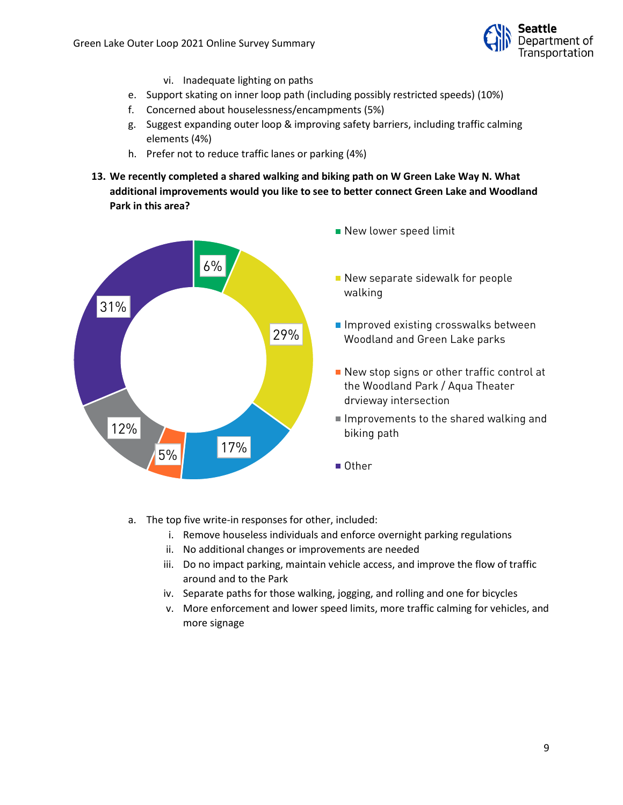

- vi. Inadequate lighting on paths
- e. Support skating on inner loop path (including possibly restricted speeds) (10%)
- f. Concerned about houselessness/encampments (5%)
- g. Suggest expanding outer loop & improving safety barriers, including traffic calming elements (4%)
- h. Prefer not to reduce traffic lanes or parking (4%)
- **13. We recently completed a shared walking and biking path on W Green Lake Way N. What additional improvements would you like to see to better connect Green Lake and Woodland Park in this area?**



- New lower speed limit
- New separate sidewalk for people walking
- Improved existing crosswalks between Woodland and Green Lake parks
- New stop signs or other traffic control at the Woodland Park / Aqua Theater drvieway intersection
- Improvements to the shared walking and biking path
- Other
- a. The top five write-in responses for other, included:
	- i. Remove houseless individuals and enforce overnight parking regulations
	- ii. No additional changes or improvements are needed
	- iii. Do no impact parking, maintain vehicle access, and improve the flow of traffic around and to the Park
	- iv. Separate paths for those walking, jogging, and rolling and one for bicycles
	- v. More enforcement and lower speed limits, more traffic calming for vehicles, and more signage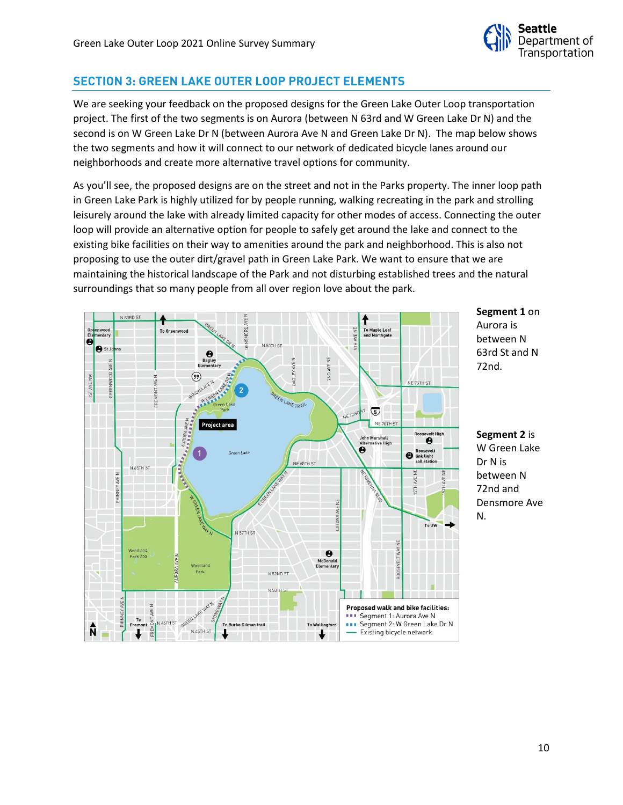

## **SECTION 3: GREEN LAKE OUTER LOOP PROJECT ELEMENTS**

We are seeking your feedback on the proposed designs for the Green Lake Outer Loop transportation project. The first of the two segments is on Aurora (between N 63rd and W Green Lake Dr N) and the second is on W Green Lake Dr N (between Aurora Ave N and Green Lake Dr N). The map below shows the two segments and how it will connect to our network of dedicated bicycle lanes around our neighborhoods and create more alternative travel options for community.

As you'll see, the proposed designs are on the street and not in the Parks property. The inner loop path in Green Lake Park is highly utilized for by people running, walking recreating in the park and strolling leisurely around the lake with already limited capacity for other modes of access. Connecting the outer loop will provide an alternative option for people to safely get around the lake and connect to the existing bike facilities on their way to amenities around the park and neighborhood. This is also not proposing to use the outer dirt/gravel path in Green Lake Park. We want to ensure that we are maintaining the historical landscape of the Park and not disturbing established trees and the natural surroundings that so many people from all over region love about the park.



**Segment 1** on Aurora is between N 63rd St and N 72nd.

**Segment 2** is W Green Lake Dr N is between N 72nd and Densmore Ave N.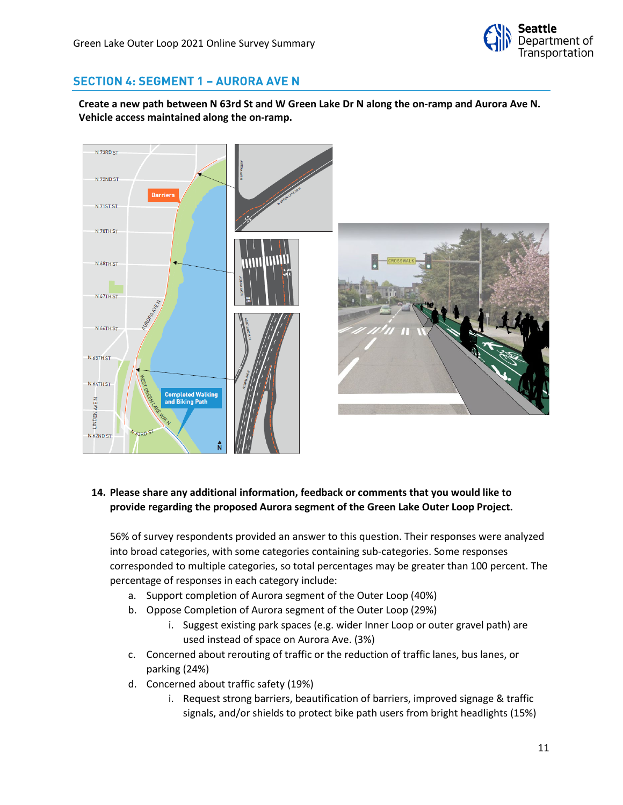

## **SECTION 4: SEGMENT 1 – AURORA AVE N**

**Create a new path between N 63rd St and W Green Lake Dr N along the on-ramp and Aurora Ave N. Vehicle access maintained along the on-ramp.**



#### **14. Please share any additional information, feedback or comments that you would like to provide regarding the proposed Aurora segment of the Green Lake Outer Loop Project.**

- a. Support completion of Aurora segment of the Outer Loop (40%)
- b. Oppose Completion of Aurora segment of the Outer Loop (29%)
	- i. Suggest existing park spaces (e.g. wider Inner Loop or outer gravel path) are used instead of space on Aurora Ave. (3%)
- c. Concerned about rerouting of traffic or the reduction of traffic lanes, bus lanes, or parking (24%)
- d. Concerned about traffic safety (19%)
	- i. Request strong barriers, beautification of barriers, improved signage & traffic signals, and/or shields to protect bike path users from bright headlights (15%)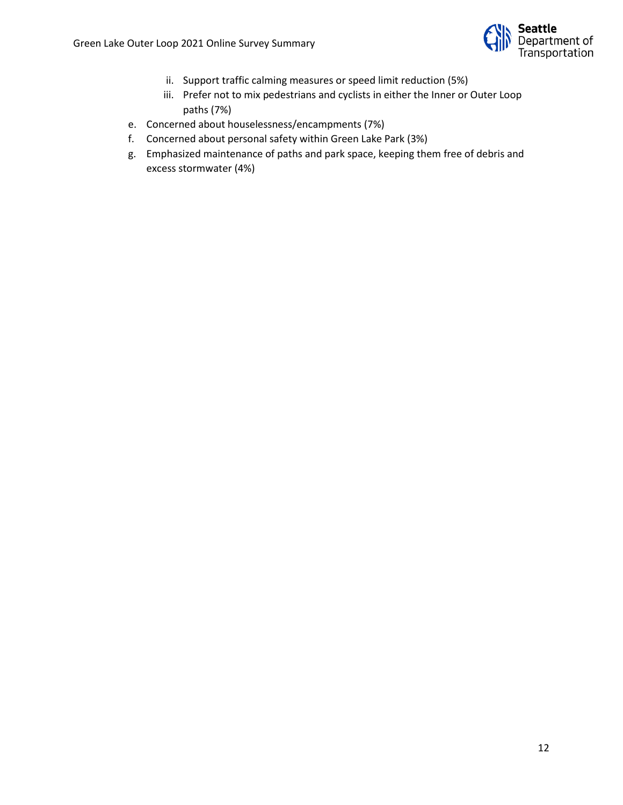

- ii. Support traffic calming measures or speed limit reduction (5%)
- iii. Prefer not to mix pedestrians and cyclists in either the Inner or Outer Loop paths (7%)
- e. Concerned about houselessness/encampments (7%)
- f. Concerned about personal safety within Green Lake Park (3%)
- g. Emphasized maintenance of paths and park space, keeping them free of debris and excess stormwater (4%)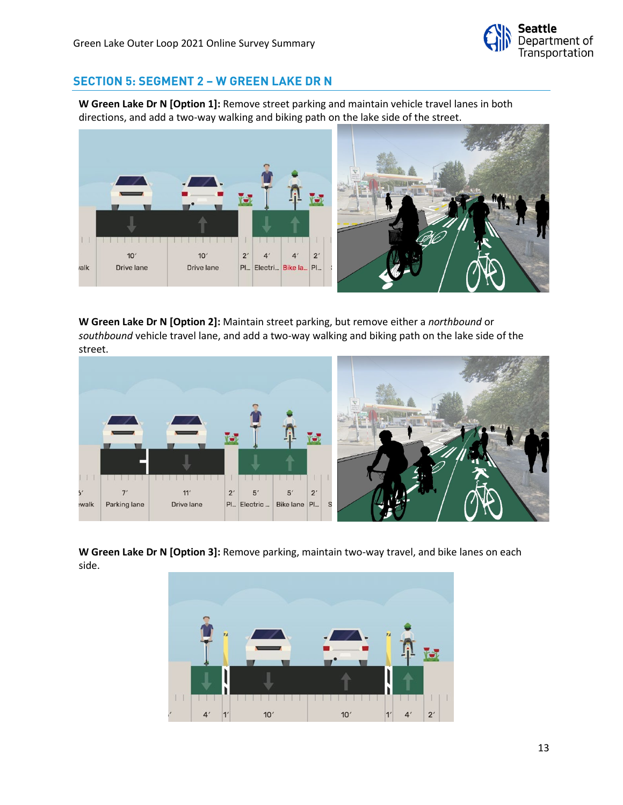

## **SECTION 5: SEGMENT 2 – W GREEN LAKE DR N**

**W Green Lake Dr N [Option 1]:** Remove street parking and maintain vehicle travel lanes in both directions, and add a two-way walking and biking path on the lake side of the street.



**W Green Lake Dr N [Option 2]:** Maintain street parking, but remove either a *northbound* or *southbound* vehicle travel lane, and add a two-way walking and biking path on the lake side of the street.



**W Green Lake Dr N [Option 3]:** Remove parking, maintain two-way travel, and bike lanes on each side.

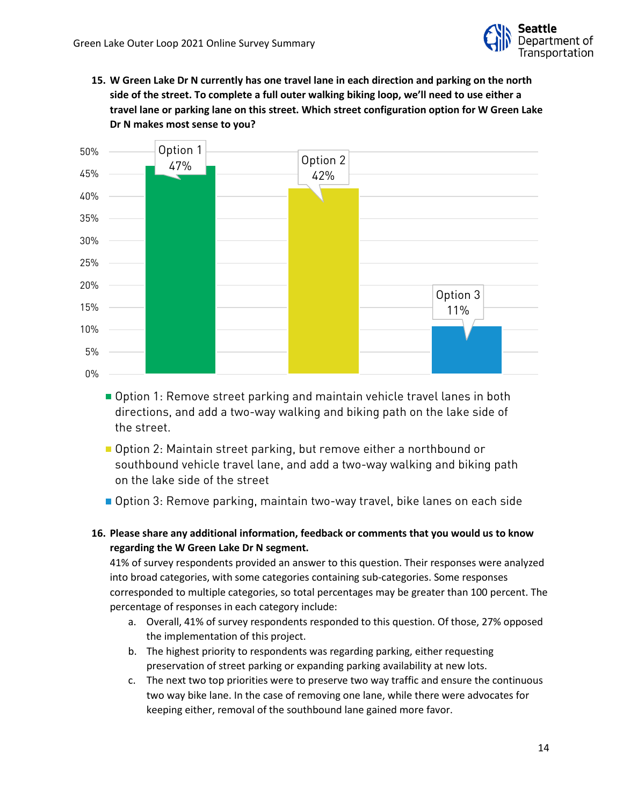

**15. W Green Lake Dr N currently has one travel lane in each direction and parking on the north side of the street. To complete a full outer walking biking loop, we'll need to use either a travel lane or parking lane on this street. Which street configuration option for W Green Lake Dr N makes most sense to you?**



- Option 1: Remove street parking and maintain vehicle travel lanes in both directions, and add a two-way walking and biking path on the lake side of the street.
- Option 2: Maintain street parking, but remove either a northbound or southbound vehicle travel lane, and add a two-way walking and biking path on the lake side of the street
- Option 3: Remove parking, maintain two-way travel, bike lanes on each side
- **16. Please share any additional information, feedback or comments that you would us to know regarding the W Green Lake Dr N segment.**

- a. Overall, 41% of survey respondents responded to this question. Of those, 27% opposed the implementation of this project.
- b. The highest priority to respondents was regarding parking, either requesting preservation of street parking or expanding parking availability at new lots.
- c. The next two top priorities were to preserve two way traffic and ensure the continuous two way bike lane. In the case of removing one lane, while there were advocates for keeping either, removal of the southbound lane gained more favor.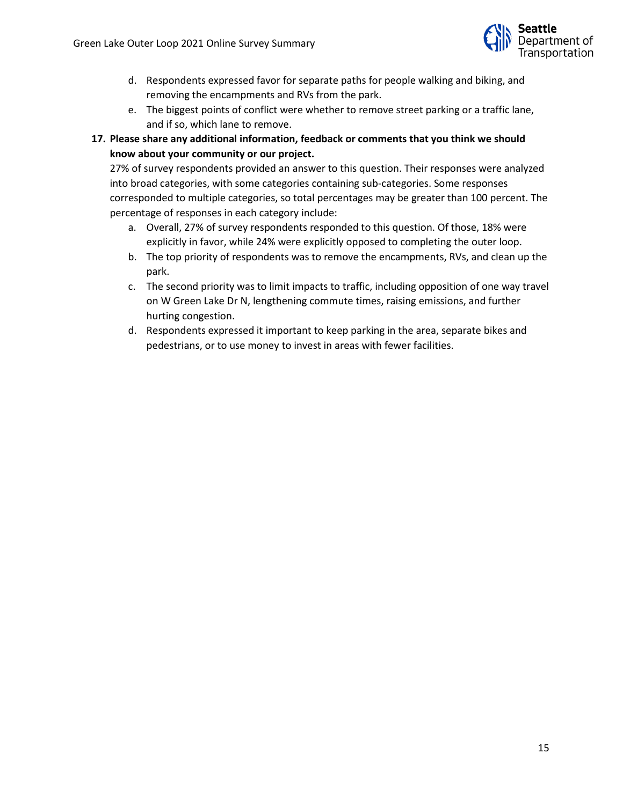

- d. Respondents expressed favor for separate paths for people walking and biking, and removing the encampments and RVs from the park.
- e. The biggest points of conflict were whether to remove street parking or a traffic lane, and if so, which lane to remove.
- **17. Please share any additional information, feedback or comments that you think we should know about your community or our project.**

- a. Overall, 27% of survey respondents responded to this question. Of those, 18% were explicitly in favor, while 24% were explicitly opposed to completing the outer loop.
- b. The top priority of respondents was to remove the encampments, RVs, and clean up the park.
- c. The second priority was to limit impacts to traffic, including opposition of one way travel on W Green Lake Dr N, lengthening commute times, raising emissions, and further hurting congestion.
- d. Respondents expressed it important to keep parking in the area, separate bikes and pedestrians, or to use money to invest in areas with fewer facilities.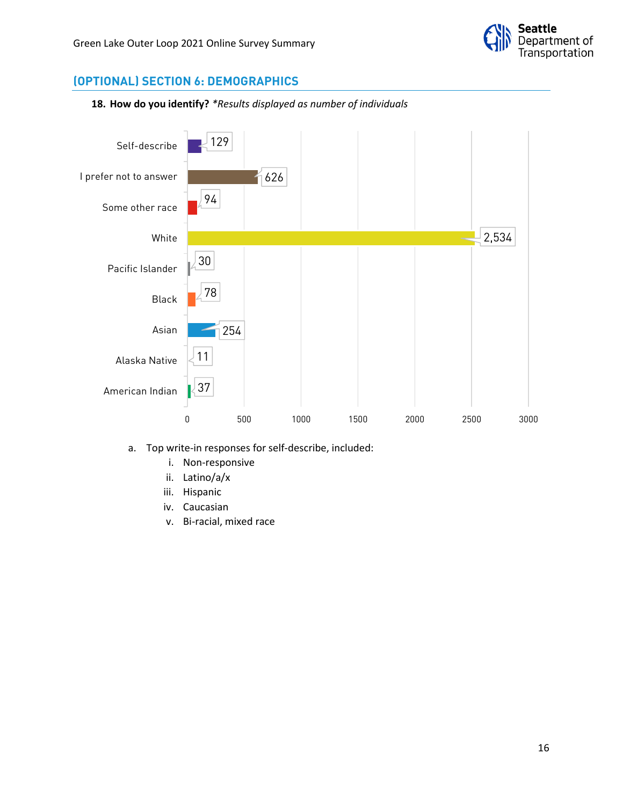

## **(OPTIONAL) SECTION 6: DEMOGRAPHICS**





- a. Top write-in responses for self-describe, included:
	- i. Non-responsive
	- ii. Latino/a/x
	- iii. Hispanic
	- iv. Caucasian
	- v. Bi-racial, mixed race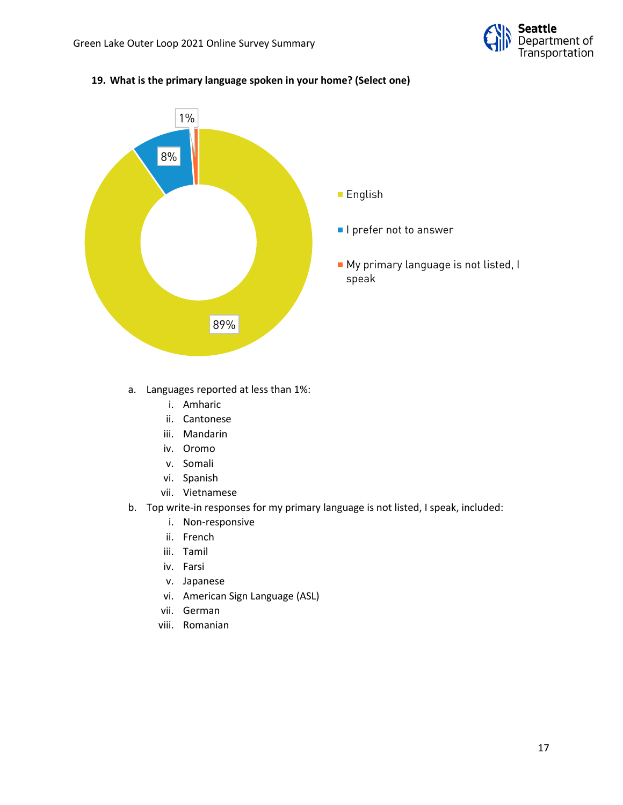

#### **19. What is the primary language spoken in your home? (Select one)**



#### a. Languages reported at less than 1%:

- i. Amharic
- ii. Cantonese
- iii. Mandarin
- iv. Oromo
- v. Somali
- vi. Spanish
- vii. Vietnamese
- b. Top write-in responses for my primary language is not listed, I speak, included:
	- i. Non-responsive
	- ii. French
	- iii. Tamil
	- iv. Farsi
	- v. Japanese
	- vi. American Sign Language (ASL)
	- vii. German
	- viii. Romanian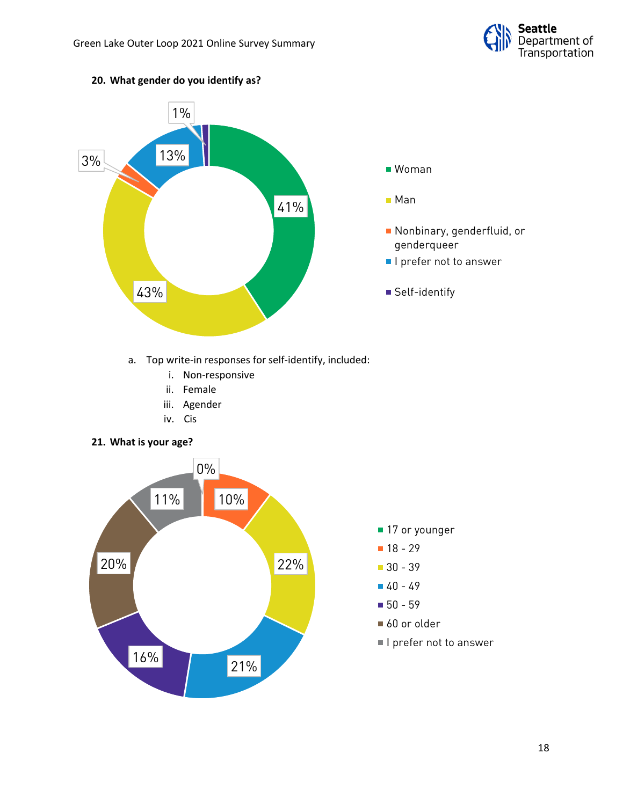

# a. Top write-in responses for self-identify, included: i. Non-responsive ii. Female iii. Agender iv. Cis **21. What is your age?** 41% 43% 3% 13% 1% Woman Man Nonbinary, genderfluid, or genderqueer **I** l prefer not to answer ■ Self-identify 0% 10% 22% 20% 11% ■ 17 or younger **18 - 29** 30 - 39 40 - 49

### **20. What gender do you identify as?**



#### 18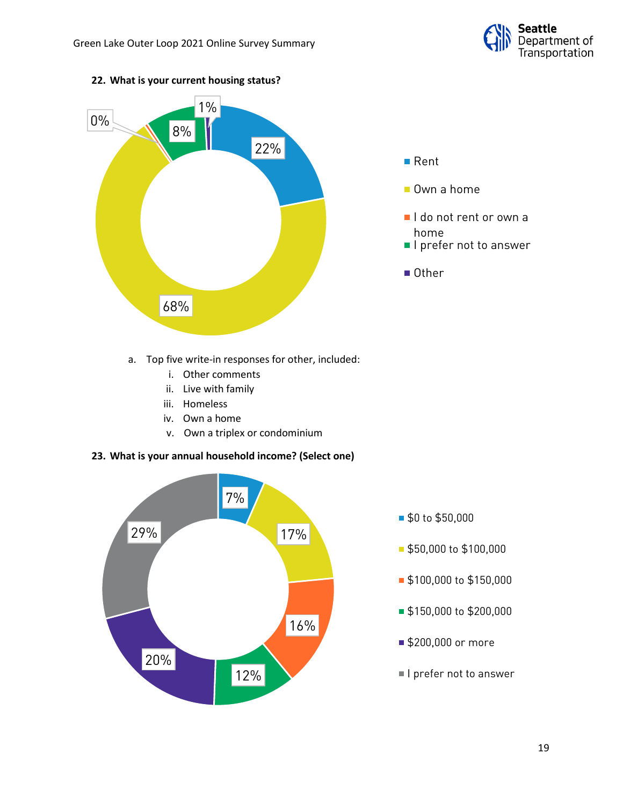



#### **22. What is your current housing status?**



- Own a home
- I do not rent or own a home
- **I** prefer not to answer
- Other

- a. Top five write-in responses for other, included:
	- i. Other comments
	- ii. Live with family
	- iii. Homeless
	- iv. Own a home
	- v. Own a triplex or condominium

#### **23. What is your annual household income? (Select one)**



- \$0 to \$50,000
- **\$50,000 to \$100,000**
- **\$100,000 to \$150,000**
- **\$150,000 to \$200,000**
- \$200,000 or more
- I prefer not to answer